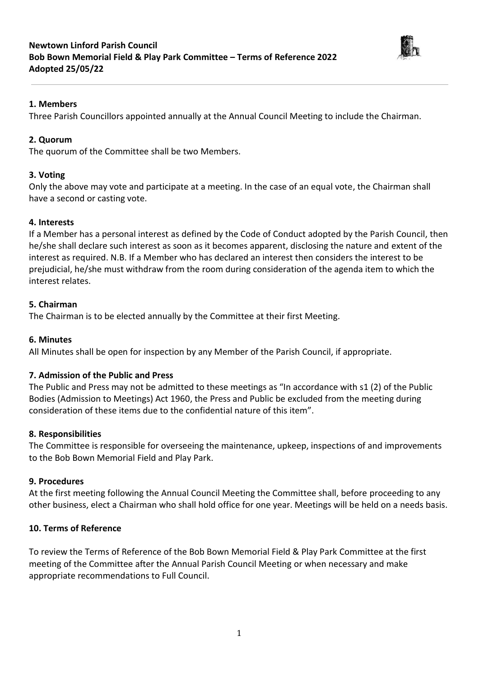

# **1. Members**

Three Parish Councillors appointed annually at the Annual Council Meeting to include the Chairman.

# **2. Quorum**

The quorum of the Committee shall be two Members.

# **3. Voting**

Only the above may vote and participate at a meeting. In the case of an equal vote, the Chairman shall have a second or casting vote.

#### **4. Interests**

If a Member has a personal interest as defined by the Code of Conduct adopted by the Parish Council, then he/she shall declare such interest as soon as it becomes apparent, disclosing the nature and extent of the interest as required. N.B. If a Member who has declared an interest then considers the interest to be prejudicial, he/she must withdraw from the room during consideration of the agenda item to which the interest relates.

#### **5. Chairman**

The Chairman is to be elected annually by the Committee at their first Meeting.

#### **6. Minutes**

All Minutes shall be open for inspection by any Member of the Parish Council, if appropriate.

#### **7. Admission of the Public and Press**

The Public and Press may not be admitted to these meetings as "In accordance with s1 (2) of the Public Bodies (Admission to Meetings) Act 1960, the Press and Public be excluded from the meeting during consideration of these items due to the confidential nature of this item".

#### **8. Responsibilities**

The Committee is responsible for overseeing the maintenance, upkeep, inspections of and improvements to the Bob Bown Memorial Field and Play Park.

#### **9. Procedures**

At the first meeting following the Annual Council Meeting the Committee shall, before proceeding to any other business, elect a Chairman who shall hold office for one year. Meetings will be held on a needs basis.

#### **10. Terms of Reference**

To review the Terms of Reference of the Bob Bown Memorial Field & Play Park Committee at the first meeting of the Committee after the Annual Parish Council Meeting or when necessary and make appropriate recommendations to Full Council.